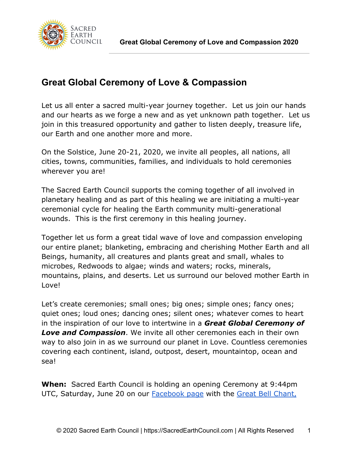

# **Great Global Ceremony of Love & Compassion**

Let us all enter a sacred multi-year journey together. Let us join our hands and our hearts as we forge a new and as yet unknown path together. Let us join in this treasured opportunity and gather to listen deeply, treasure life, our Earth and one another more and more.

On the Solstice, June 20-21, 2020, we invite all peoples, all nations, all cities, towns, communities, families, and individuals to hold ceremonies wherever you are!

The Sacred Earth Council supports the coming together of all involved in planetary healing and as part of this healing we are initiating a multi-year ceremonial cycle for healing the Earth community multi-generational wounds. This is the first ceremony in this healing journey.

Together let us form a great tidal wave of love and compassion enveloping our entire planet; blanketing, embracing and cherishing Mother Earth and all Beings, humanity, all creatures and plants great and small, whales to microbes, Redwoods to algae; winds and waters; rocks, minerals, mountains, plains, and deserts. Let us surround our beloved mother Earth in Love!

Let's create ceremonies; small ones; big ones; simple ones; fancy ones; quiet ones; loud ones; dancing ones; silent ones; whatever comes to heart in the inspiration of our love to intertwine in a *Great Global Ceremony of Love and Compassion*. We invite all other ceremonies each in their own way to also join in as we surround our planet in Love. Countless ceremonies covering each continent, island, outpost, desert, mountaintop, ocean and sea!

**When:** Sacred Earth Council is holding an opening Ceremony at 9:44pm UTC, Saturday, June 20 on our **[Facebook page](https://www.facebook.com/Sacredearthcouncil/) with the Great Bell Chant**,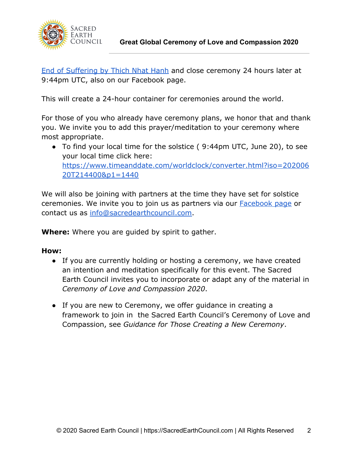

[End of Suffering by Thich Nhat Hanh](https://youtu.be/F1ZwaEzMtJw) and close ceremony 24 hours later at 9:44pm UTC, also on our Facebook page.

This will create a 24-hour container for ceremonies around the world.

For those of you who already have ceremony plans, we honor that and thank you. We invite you to add this prayer/meditation to your ceremony where most appropriate.

● To find your local time for the solstice ( 9:44pm UTC, June 20), to see your local time click here: [https://www.timeanddate.com/worldclock/converter.html?iso=202006](https://www.timeanddate.com/worldclock/converter.html?iso=20200620T214400&p1=1440) [20T214400&p1=1440](https://www.timeanddate.com/worldclock/converter.html?iso=20200620T214400&p1=1440)

We will also be joining with partners at the time they have set for solstice ceremonies. We invite you to join us as partners via our [Facebook page](https://www.facebook.com/Sacredearthcouncil/) or contact us as [info@sacredearthcouncil.com.](mailto:info@sacredearthcouncil.com)

**Where:** Where you are guided by spirit to gather.

### **How:**

- If you are currently holding or hosting a ceremony, we have created an intention and meditation specifically for this event. The Sacred Earth Council invites you to incorporate or adapt any of the material in *Ceremony of Love and Compassion 2020*.
- If you are new to Ceremony, we offer guidance in creating a framework to join in the Sacred Earth Council's Ceremony of Love and Compassion, see *Guidance for Those Creating a New Ceremony*.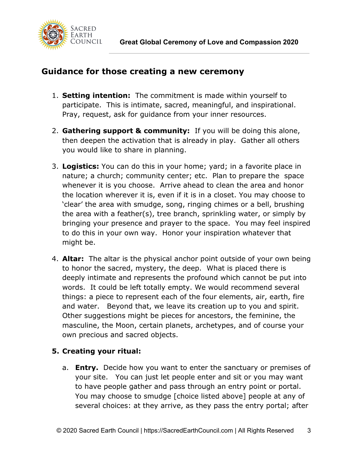

## **Guidance for those creating a new ceremony**

- 1. **Setting intention:** The commitment is made within yourself to participate. This is intimate, sacred, meaningful, and inspirational. Pray, request, ask for guidance from your inner resources.
- 2. **Gathering support & community:** If you will be doing this alone, then deepen the activation that is already in play. Gather all others you would like to share in planning.
- 3. **Logistics:** You can do this in your home; yard; in a favorite place in nature; a church; community center; etc. Plan to prepare the space whenever it is you choose. Arrive ahead to clean the area and honor the location wherever it is, even if it is in a closet. You may choose to 'clear' the area with smudge, song, ringing chimes or a bell, brushing the area with a feather(s), tree branch, sprinkling water, or simply by bringing your presence and prayer to the space. You may feel inspired to do this in your own way. Honor your inspiration whatever that might be.
- 4. **Altar:** The altar is the physical anchor point outside of your own being to honor the sacred, mystery, the deep. What is placed there is deeply intimate and represents the profound which cannot be put into words. It could be left totally empty. We would recommend several things: a piece to represent each of the four elements, air, earth, fire and water. Beyond that, we leave its creation up to you and spirit. Other suggestions might be pieces for ancestors, the feminine, the masculine, the Moon, certain planets, archetypes, and of course your own precious and sacred objects.

### **5. Creating your ritual:**

a. **Entry.** Decide how you want to enter the sanctuary or premises of your site. You can just let people enter and sit or you may want to have people gather and pass through an entry point or portal. You may choose to smudge [choice listed above] people at any of several choices: at they arrive, as they pass the entry portal; after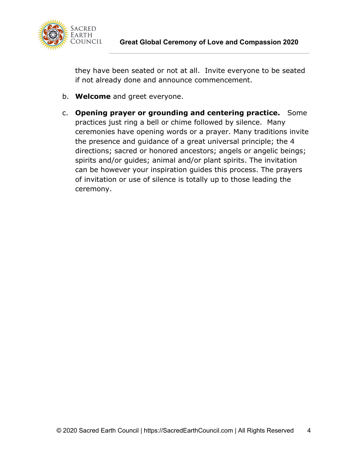

they have been seated or not at all. Invite everyone to be seated if not already done and announce commencement.

- b. **Welcome** and greet everyone.
- c. **Opening prayer or grounding and centering practice.** Some practices just ring a bell or chime followed by silence. Many ceremonies have opening words or a prayer. Many traditions invite the presence and guidance of a great universal principle; the 4 directions; sacred or honored ancestors; angels or angelic beings; spirits and/or guides; animal and/or plant spirits. The invitation can be however your inspiration guides this process. The prayers of invitation or use of silence is totally up to those leading the ceremony.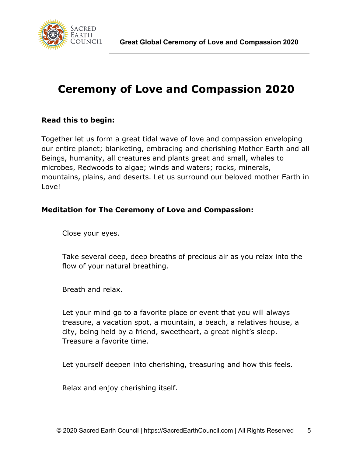

# **Ceremony of Love and Compassion 2020**

### **Read this to begin:**

Together let us form a great tidal wave of love and compassion enveloping our entire planet; blanketing, embracing and cherishing Mother Earth and all Beings, humanity, all creatures and plants great and small, whales to microbes, Redwoods to algae; winds and waters; rocks, minerals, mountains, plains, and deserts. Let us surround our beloved mother Earth in Love!

### **Meditation for The Ceremony of Love and Compassion:**

Close your eyes.

Take several deep, deep breaths of precious air as you relax into the flow of your natural breathing.

Breath and relax.

Let your mind go to a favorite place or event that you will always treasure, a vacation spot, a mountain, a beach, a relatives house, a city, being held by a friend, sweetheart, a great night's sleep. Treasure a favorite time.

Let yourself deepen into cherishing, treasuring and how this feels.

Relax and enjoy cherishing itself.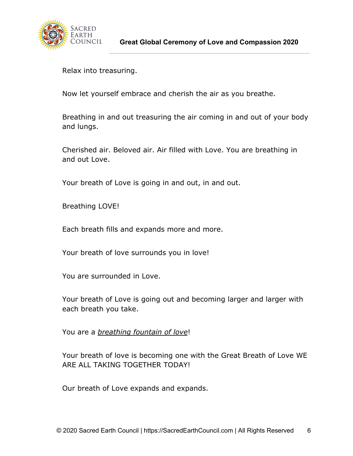

Relax into treasuring.

Now let yourself embrace and cherish the air as you breathe.

Breathing in and out treasuring the air coming in and out of your body and lungs.

Cherished air. Beloved air. Air filled with Love. You are breathing in and out Love.

Your breath of Love is going in and out, in and out.

Breathing LOVE!

Each breath fills and expands more and more.

Your breath of love surrounds you in love!

You are surrounded in Love.

Your breath of Love is going out and becoming larger and larger with each breath you take.

You are a *breathing fountain of love*!

Your breath of love is becoming one with the Great Breath of Love WE ARE ALL TAKING TOGETHER TODAY!

Our breath of Love expands and expands.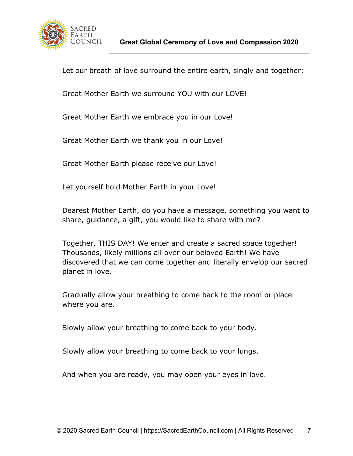

Let our breath of love surround the entire earth, singly and together:

Great Mother Earth we surround YOU with our LOVE!

Great Mother Earth we embrace you in our Love!

Great Mother Earth we thank you in our Love!

Great Mother Earth please receive our Love!

Let yourself hold Mother Earth in your Love!

Dearest Mother Earth, do you have a message, something you want to share, guidance, a gift, you would like to share with me?

Together, THIS DAY! We enter and create a sacred space together! Thousands, likely millions all over our beloved Earth! We have discovered that we can come together and literally envelop our sacred planet in love.

Gradually allow your breathing to come back to the room or place where you are.

Slowly allow your breathing to come back to your body.

Slowly allow your breathing to come back to your lungs.

And when you are ready, you may open your eyes in love.